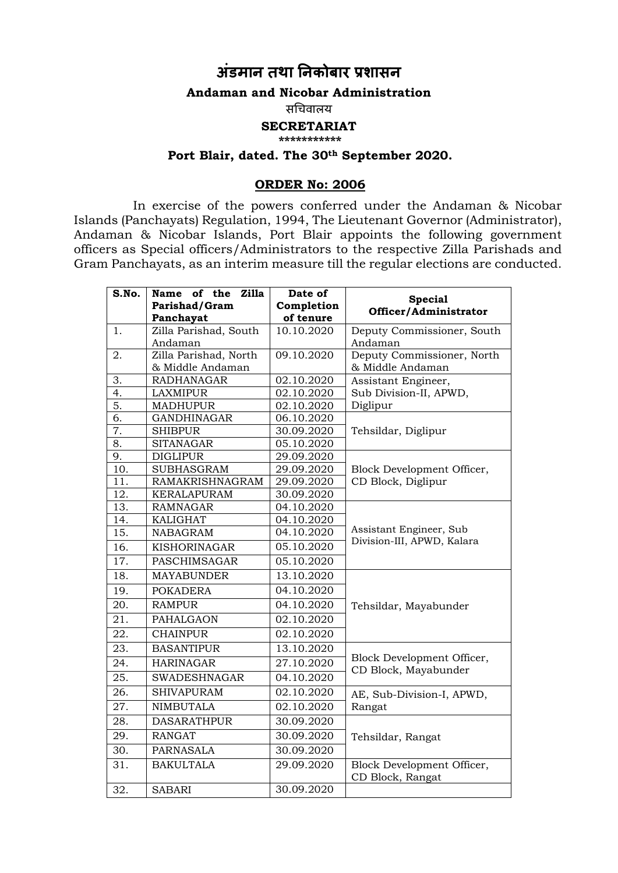# **अंडमान तथा ननकोबार प्रशासन**

#### **Andaman and Nicobar Administration**

सचिवालय

### **SECRETARIAT**

**\*\*\*\*\*\*\*\*\*\*\***

## **Port Blair, dated. The 30th September 2020.**

#### **ORDER No: 2006**

In exercise of the powers conferred under the Andaman & Nicobar Islands (Panchayats) Regulation, 1994, The Lieutenant Governor (Administrator), Andaman & Nicobar Islands, Port Blair appoints the following government officers as Special officers/Administrators to the respective Zilla Parishads and Gram Panchayats, as an interim measure till the regular elections are conducted.

| $\overline{\mathbf{S}}.\mathbf{No}.$ | Name of the<br><b>Zilla</b>        | Date of                 | <b>Special</b>                                     |
|--------------------------------------|------------------------------------|-------------------------|----------------------------------------------------|
|                                      | Parishad/Gram                      | Completion<br>of tenure | Officer/Administrator                              |
| 1.                                   | Panchayat<br>Zilla Parishad, South | 10.10.2020              | Deputy Commissioner, South                         |
|                                      | Andaman                            |                         | Andaman                                            |
| 2.                                   | Zilla Parishad, North              | 09.10.2020              | Deputy Commissioner, North                         |
|                                      | & Middle Andaman                   |                         | & Middle Andaman                                   |
| 3.                                   | <b>RADHANAGAR</b>                  | 02.10.2020              | Assistant Engineer,                                |
| 4.                                   | <b>LAXMIPUR</b>                    | 02.10.2020              | Sub Division-II, APWD,                             |
| 5.                                   | <b>MADHUPUR</b>                    | 02.10.2020              | Diglipur                                           |
| 6.                                   | <b>GANDHINAGAR</b>                 | 06.10.2020              |                                                    |
| 7.                                   | <b>SHIBPUR</b>                     | 30.09.2020              | Tehsildar, Diglipur                                |
| 8.                                   | <b>SITANAGAR</b>                   | 05.10.2020              |                                                    |
| 9.                                   | <b>DIGLIPUR</b>                    | 29.09.2020              |                                                    |
| 10.                                  | <b>SUBHASGRAM</b>                  | 29.09.2020              | Block Development Officer,                         |
| 11.                                  | RAMAKRISHNAGRAM                    | 29.09.2020              | CD Block, Diglipur                                 |
| 12.                                  | KERALAPURAM                        | 30.09.2020              |                                                    |
| 13.                                  | <b>RAMNAGAR</b>                    | 04.10.2020              |                                                    |
| 14.                                  | <b>KALIGHAT</b>                    | 04.10.2020              |                                                    |
| 15.                                  | <b>NABAGRAM</b>                    | 04.10.2020              | Assistant Engineer, Sub                            |
| 16.                                  | <b>KISHORINAGAR</b>                | 05.10.2020              | Division-III, APWD, Kalara                         |
| 17.                                  | PASCHIMSAGAR                       | 05.10.2020              |                                                    |
| 18.                                  | <b>MAYABUNDER</b>                  | 13.10.2020              |                                                    |
| 19.                                  | <b>POKADERA</b>                    | 04.10.2020              |                                                    |
| 20.                                  | <b>RAMPUR</b>                      | 04.10.2020              | Tehsildar, Mayabunder                              |
| 21.                                  | <b>PAHALGAON</b>                   | 02.10.2020              |                                                    |
| 22.                                  | <b>CHAINPUR</b>                    | 02.10.2020              |                                                    |
| 23.                                  | <b>BASANTIPUR</b>                  | 13.10.2020              |                                                    |
| 24.                                  | <b>HARINAGAR</b>                   | 27.10.2020              | Block Development Officer,<br>CD Block, Mayabunder |
| 25.                                  | <b>SWADESHNAGAR</b>                | 04.10.2020              |                                                    |
| 26.                                  | <b>SHIVAPURAM</b>                  | 02.10.2020              | AE, Sub-Division-I, APWD,                          |
| 27.                                  | <b>NIMBUTALA</b>                   | 02.10.2020              | Rangat                                             |
| 28.                                  | <b>DASARATHPUR</b>                 | 30.09.2020              |                                                    |
| 29.                                  | <b>RANGAT</b>                      | 30.09.2020              | Tehsildar, Rangat                                  |
| 30.                                  | PARNASALA                          | 30.09.2020              |                                                    |
| 31.                                  | <b>BAKULTALA</b>                   | 29.09.2020              | Block Development Officer,                         |
|                                      |                                    |                         | CD Block, Rangat                                   |
| 32.                                  | <b>SABARI</b>                      | 30.09.2020              |                                                    |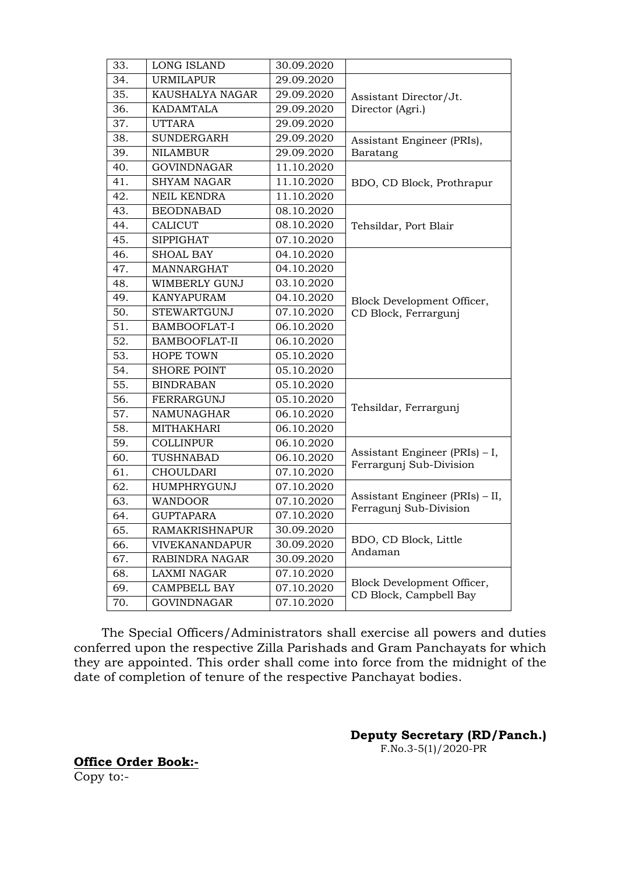| 33. | <b>LONG ISLAND</b>    | 30.09.2020 |                                                           |
|-----|-----------------------|------------|-----------------------------------------------------------|
| 34. | <b>URMILAPUR</b>      | 29.09.2020 | Assistant Director/Jt.<br>Director (Agri.)                |
| 35. | KAUSHALYA NAGAR       | 29.09.2020 |                                                           |
| 36. | <b>KADAMTALA</b>      | 29.09.2020 |                                                           |
| 37. | <b>UTTARA</b>         | 29.09.2020 |                                                           |
| 38. | <b>SUNDERGARH</b>     | 29.09.2020 | Assistant Engineer (PRIs),                                |
| 39. | <b>NILAMBUR</b>       | 29.09.2020 | Baratang                                                  |
| 40. | <b>GOVINDNAGAR</b>    | 11.10.2020 | BDO, CD Block, Prothrapur                                 |
| 41. | <b>SHYAM NAGAR</b>    | 11.10.2020 |                                                           |
| 42. | NEIL KENDRA           | 11.10.2020 |                                                           |
| 43. | <b>BEODNABAD</b>      | 08.10.2020 | Tehsildar, Port Blair                                     |
| 44. | <b>CALICUT</b>        | 08.10.2020 |                                                           |
| 45. | <b>SIPPIGHAT</b>      | 07.10.2020 |                                                           |
| 46. | <b>SHOAL BAY</b>      | 04.10.2020 | Block Development Officer,<br>CD Block, Ferrargunj        |
| 47. | MANNARGHAT            | 04.10.2020 |                                                           |
| 48. | WIMBERLY GUNJ         | 03.10.2020 |                                                           |
| 49. | <b>KANYAPURAM</b>     | 04.10.2020 |                                                           |
| 50. | <b>STEWARTGUNJ</b>    | 07.10.2020 |                                                           |
| 51. | <b>BAMBOOFLAT-I</b>   | 06.10.2020 |                                                           |
| 52. | BAMBOOFLAT-II         | 06.10.2020 |                                                           |
| 53. | <b>HOPE TOWN</b>      | 05.10.2020 |                                                           |
| 54. | <b>SHORE POINT</b>    | 05.10.2020 |                                                           |
| 55. | <b>BINDRABAN</b>      | 05.10.2020 | Tehsildar, Ferrargunj                                     |
| 56. | FERRARGUNJ            | 05.10.2020 |                                                           |
| 57. | NAMUNAGHAR            | 06.10.2020 |                                                           |
| 58. | <b>MITHAKHARI</b>     | 06.10.2020 |                                                           |
| 59. | <b>COLLINPUR</b>      | 06.10.2020 | Assistant Engineer (PRIs) - I,<br>Ferrargunj Sub-Division |
| 60. | TUSHNABAD             | 06.10.2020 |                                                           |
| 61. | <b>CHOULDARI</b>      | 07.10.2020 |                                                           |
| 62. | HUMPHRYGUNJ           | 07.10.2020 | Assistant Engineer (PRIs) - II,<br>Ferragunj Sub-Division |
| 63. | <b>WANDOOR</b>        | 07.10.2020 |                                                           |
| 64. | <b>GUPTAPARA</b>      | 07.10.2020 |                                                           |
| 65. | <b>RAMAKRISHNAPUR</b> | 30.09.2020 | BDO, CD Block, Little<br>Andaman                          |
| 66. | <b>VIVEKANANDAPUR</b> | 30.09.2020 |                                                           |
| 67. | RABINDRA NAGAR        | 30.09.2020 |                                                           |
| 68. | <b>LAXMI NAGAR</b>    | 07.10.2020 | Block Development Officer,<br>CD Block, Campbell Bay      |
| 69. | CAMPBELL BAY          | 07.10.2020 |                                                           |
| 70. | <b>GOVINDNAGAR</b>    | 07.10.2020 |                                                           |

 The Special Officers/Administrators shall exercise all powers and duties conferred upon the respective Zilla Parishads and Gram Panchayats for which they are appointed. This order shall come into force from the midnight of the date of completion of tenure of the respective Panchayat bodies.

> **Deputy Secretary (RD/Panch.)** F.No.3-5(1)/2020-PR

**Office Order Book:-** Copy to:-